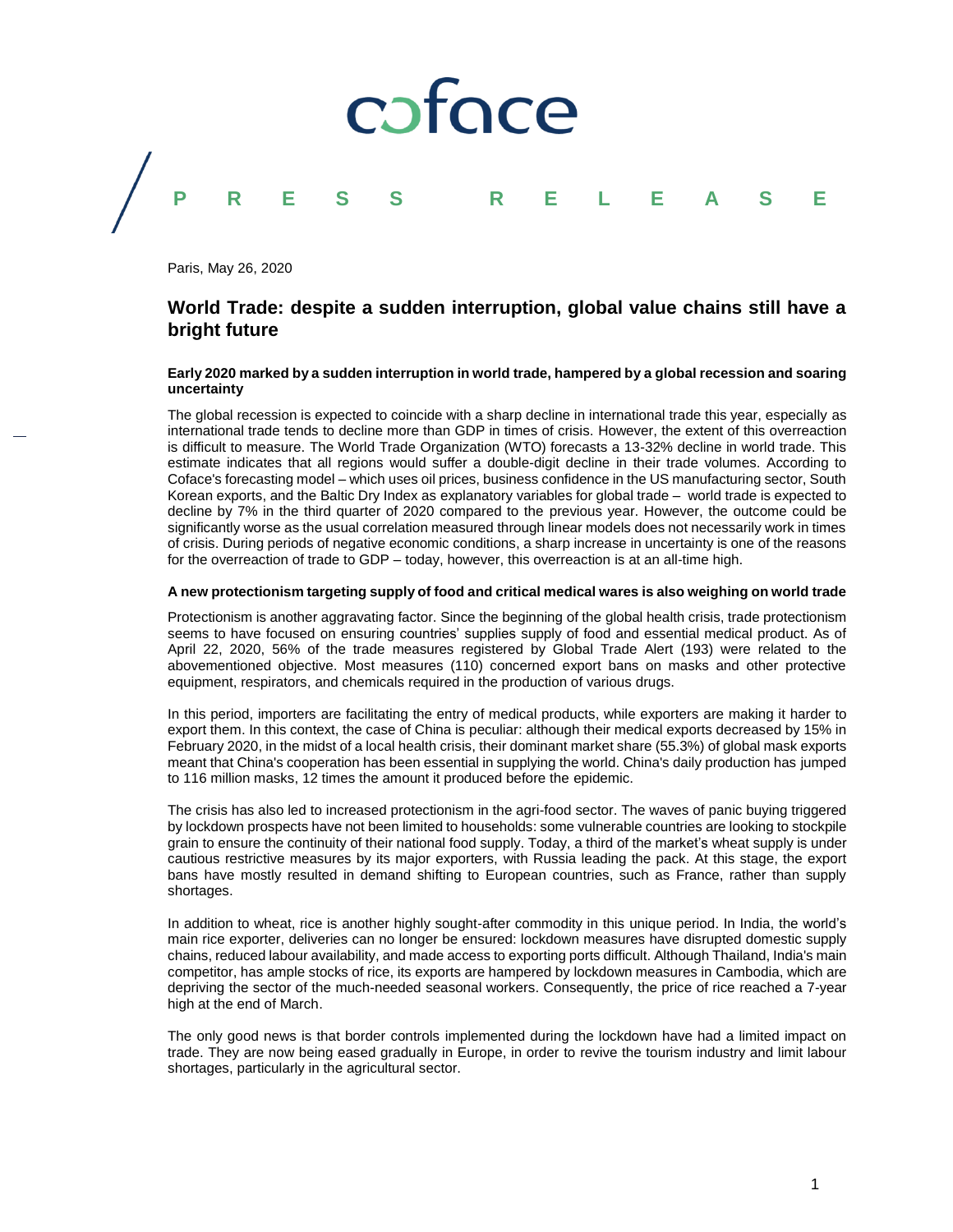

Paris, May 26, 2020

# **World Trade: despite a sudden interruption, global value chains still have a bright future**

### **Early 2020 marked by a sudden interruption in world trade, hampered by a global recession and soaring uncertainty**

The global recession is expected to coincide with a sharp decline in international trade this year, especially as international trade tends to decline more than GDP in times of crisis. However, the extent of this overreaction is difficult to measure. The World Trade Organization (WTO) forecasts a 13-32% decline in world trade. This estimate indicates that all regions would suffer a double-digit decline in their trade volumes. According to Coface's forecasting model – which uses oil prices, business confidence in the US manufacturing sector, South Korean exports, and the Baltic Dry Index as explanatory variables for global trade – world trade is expected to decline by 7% in the third quarter of 2020 compared to the previous year. However, the outcome could be significantly worse as the usual correlation measured through linear models does not necessarily work in times of crisis. During periods of negative economic conditions, a sharp increase in uncertainty is one of the reasons for the overreaction of trade to GDP – today, however, this overreaction is at an all-time high.

#### **A new protectionism targeting supply of food and critical medical wares is also weighing on world trade**

Protectionism is another aggravating factor. Since the beginning of the global health crisis, trade protectionism seems to have focused on ensuring countries' supplies supply of food and essential medical product. As of April 22, 2020, 56% of the trade measures registered by Global Trade Alert (193) were related to the abovementioned objective. Most measures (110) concerned export bans on masks and other protective equipment, respirators, and chemicals required in the production of various drugs.

In this period, importers are facilitating the entry of medical products, while exporters are making it harder to export them. In this context, the case of China is peculiar: although their medical exports decreased by 15% in February 2020, in the midst of a local health crisis, their dominant market share (55.3%) of global mask exports meant that China's cooperation has been essential in supplying the world. China's daily production has jumped to 116 million masks, 12 times the amount it produced before the epidemic.

The crisis has also led to increased protectionism in the agri-food sector. The waves of panic buying triggered by lockdown prospects have not been limited to households: some vulnerable countries are looking to stockpile grain to ensure the continuity of their national food supply. Today, a third of the market's wheat supply is under cautious restrictive measures by its major exporters, with Russia leading the pack. At this stage, the export bans have mostly resulted in demand shifting to European countries, such as France, rather than supply shortages.

In addition to wheat, rice is another highly sought-after commodity in this unique period. In India, the world's main rice exporter, deliveries can no longer be ensured: lockdown measures have disrupted domestic supply chains, reduced labour availability, and made access to exporting ports difficult. Although Thailand, India's main competitor, has ample stocks of rice, its exports are hampered by lockdown measures in Cambodia, which are depriving the sector of the much-needed seasonal workers. Consequently, the price of rice reached a 7-year high at the end of March.

The only good news is that border controls implemented during the lockdown have had a limited impact on trade. They are now being eased gradually in Europe, in order to revive the tourism industry and limit labour shortages, particularly in the agricultural sector.